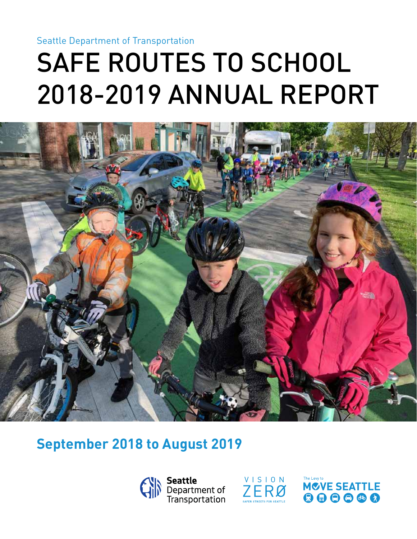Seattle Department of Transportation

# SAFE ROUTES TO SCHOOL 2018-2019 ANNUAL REPORT



### **September 2018 to August 2019**





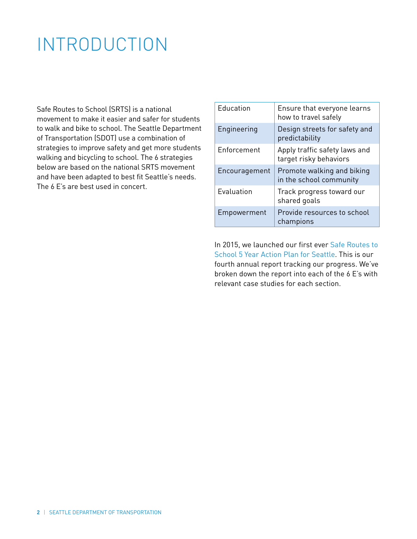### INTRODUCTION

Safe Routes to School (SRTS) is a national movement to make it easier and safer for students to walk and bike to school. The Seattle Department of Transportation (SDOT) use a combination of strategies to improve safety and get more students walking and bicycling to school. The 6 strategies below are based on the national SRTS movement and have been adapted to best fit Seattle's needs. The 6 E's are best used in concert.

| <b>Education</b>   | Ensure that everyone learns<br>how to travel safely     |
|--------------------|---------------------------------------------------------|
| Engineering        | Design streets for safety and<br>predictability         |
| <b>Enforcement</b> | Apply traffic safety laws and<br>target risky behaviors |
| Encouragement      | Promote walking and biking<br>in the school community   |
| Evaluation         | Track progress toward our<br>shared goals               |
| Empowerment        | Provide resources to school<br>champions                |

In 2015, we launched our first ever Safe Routes to School 5 Year Action Plan for Seattle. This is our fourth annual report tracking our progress. We've broken down the report into each of the 6 E's with relevant case studies for each section.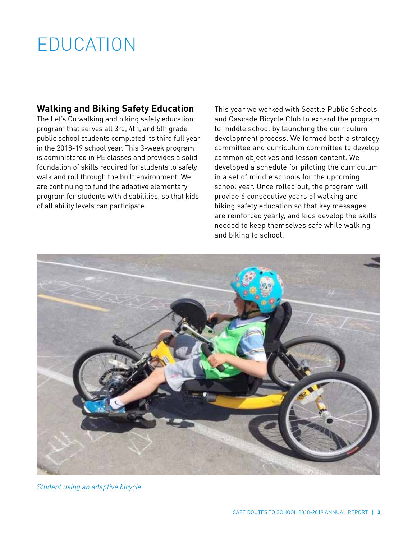## EDUCATION

#### **Walking and Biking Safety Education**

The Let's Go walking and biking safety education program that serves all 3rd, 4th, and 5th grade public school students completed its third full year in the 2018-19 school year. This 3-week program is administered in PE classes and provides a solid foundation of skills required for students to safely walk and roll through the built environment. We are continuing to fund the adaptive elementary program for students with disabilities, so that kids of all ability levels can participate.

This year we worked with Seattle Public Schools and Cascade Bicycle Club to expand the program to middle school by launching the curriculum development process. We formed both a strategy committee and curriculum committee to develop common objectives and lesson content. We developed a schedule for piloting the curriculum in a set of middle schools for the upcoming school year. Once rolled out, the program will provide 6 consecutive years of walking and biking safety education so that key messages are reinforced yearly, and kids develop the skills needed to keep themselves safe while walking and biking to school.



*Student using an adaptive bicycle*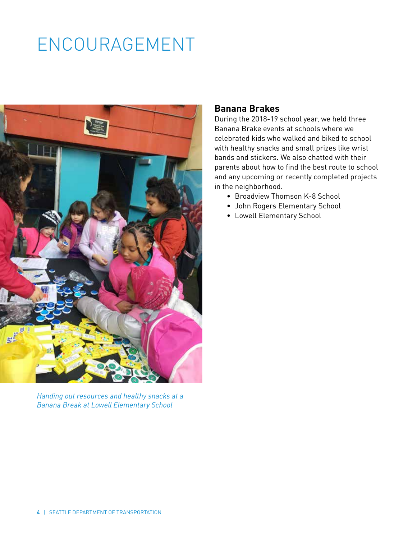# ENCOURAGEMENT



*Handing out resources and healthy snacks at a Banana Break at Lowell Elementary School*

#### **Banana Brakes**

During the 2018-19 school year, we held three Banana Brake events at schools where we celebrated kids who walked and biked to school with healthy snacks and small prizes like wrist bands and stickers. We also chatted with their parents about how to find the best route to school and any upcoming or recently completed projects in the neighborhood.

- Broadview Thomson K-8 School
- John Rogers Elementary School
- Lowell Elementary School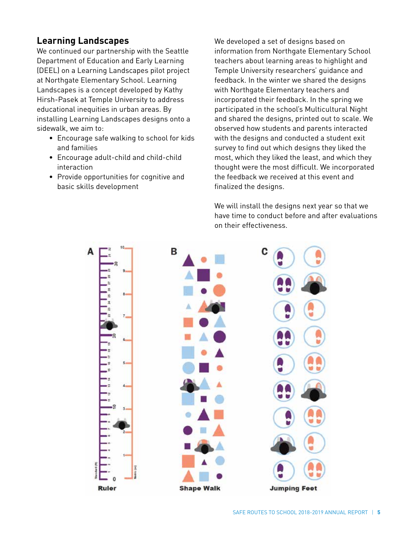#### **Learning Landscapes**

We continued our partnership with the Seattle Department of Education and Early Learning (DEEL) on a Learning Landscapes pilot project at Northgate Elementary School. Learning Landscapes is a concept developed by Kathy Hirsh-Pasek at Temple University to address educational inequities in urban areas. By installing Learning Landscapes designs onto a sidewalk, we aim to:

- Encourage safe walking to school for kids and families
- Encourage adult-child and child-child interaction
- Provide opportunities for cognitive and basic skills development

We developed a set of designs based on information from Northgate Elementary School teachers about learning areas to highlight and Temple University researchers' guidance and feedback. In the winter we shared the designs with Northgate Elementary teachers and incorporated their feedback. In the spring we participated in the school's Multicultural Night and shared the designs, printed out to scale. We observed how students and parents interacted with the designs and conducted a student exit survey to find out which designs they liked the most, which they liked the least, and which they thought were the most difficult. We incorporated the feedback we received at this event and finalized the designs.

We will install the designs next year so that we have time to conduct before and after evaluations on their effectiveness.

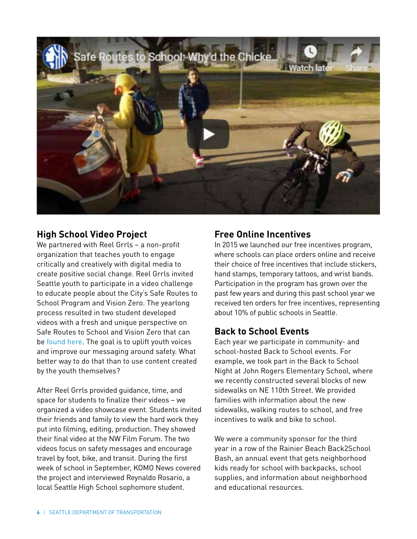

#### **High School Video Project**

We partnered with Reel Grrls – a non-profit organization that teaches youth to engage critically and creatively with digital media to create positive social change. Reel Grrls invited Seattle youth to participate in a video challenge to educate people about the City's Safe Routes to School Program and Vision Zero. The yearlong process resulted in two student developed videos with a fresh and unique perspective on Safe Routes to School and Vision Zero that can be found here. The goal is to uplift youth voices and improve our messaging around safety. What better way to do that than to use content created by the youth themselves?

After Reel Grrls provided guidance, time, and space for students to finalize their videos – we organized a video showcase event. Students invited their friends and family to view the hard work they put into filming, editing, production. They showed their final video at the NW Film Forum. The two videos focus on safety messages and encourage travel by foot, bike, and transit. During the first week of school in September, KOMO News covered the project and interviewed Reynaldo Rosario, a local Seattle High School sophomore student.

#### **Free Online Incentives**

In 2015 we launched our free incentives program, where schools can place orders online and receive their choice of free incentives that include stickers, hand stamps, temporary tattoos, and wrist bands. Participation in the program has grown over the past few years and during this past school year we received ten orders for free incentives, representing about 10% of public schools in Seattle.

#### **Back to School Events**

Each year we participate in community- and school-hosted Back to School events. For example, we took part in the Back to School Night at John Rogers Elementary School, where we recently constructed several blocks of new sidewalks on NE 110th Street. We provided families with information about the new sidewalks, walking routes to school, and free incentives to walk and bike to school.

We were a community sponsor for the third year in a row of the Rainier Beach Back2School Bash, an annual event that gets neighborhood kids ready for school with backpacks, school supplies, and information about neighborhood and educational resources.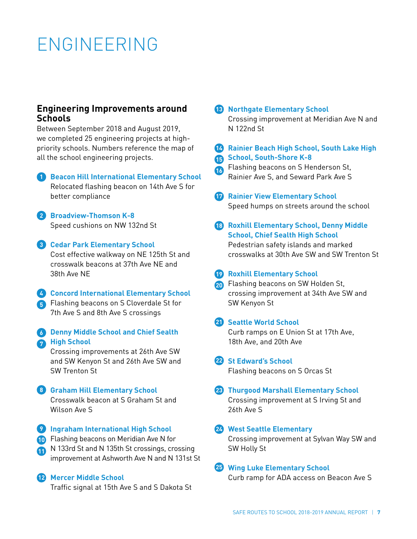### ENGINEERING

#### **Engineering Improvements around Schools**

Between September 2018 and August 2019, we completed 25 engineering projects at highpriority schools. Numbers reference the map of all the school engineering projects.

**1** Beacon Hill International Elementary School Relocated flashing beacon on 14th Ave S for better compliance

**Broadview-Thomson K-8 2** Speed cushions on NW 132nd St

- **Cedar Park Elementary School 3** Cost effective walkway on NE 125th St and crosswalk beacons at 37th Ave NE and 38th Ave NE
- **Concord International Elementary School 4 5** Flashing beacons on S Cloverdale St for 7th Ave S and 8th Ave S crossings
- **Denny Middle School and Chief Sealth 6 A** High School

Crossing improvements at 26th Ave SW and SW Kenyon St and 26th Ave SW and SW Trenton St

- **Graham Hill Elementary School 8** Crosswalk beacon at S Graham St and Wilson Ave S
- **2** Ingraham International High School
- Flashing beacons on Meridian Ave N for **10**
- N 133rd St and N 135th St crossings, crossing **11** improvement at Ashworth Ave N and N 131st St

#### **Mercer Middle School 12**

Traffic signal at 15th Ave S and S Dakota St

**Northgate Elementary School 13**

Crossing improvement at Meridian Ave N and N 122nd St

**Rainier Beach High School, South Lake High 14**

**School, South-Shore K-8 15**

- Flashing beacons on S Henderson St, **16** Rainier Ave S, and Seward Park Ave S
- **Rainier View Elementary School** Speed humps on streets around the school
- **Roxhill Elementary School, Denny Middle 18 School, Chief Sealth High School** Pedestrian safety islands and marked crosswalks at 30th Ave SW and SW Trenton St
- **Roxhill Elementary School**
- Flashing beacons on SW Holden St, **20** crossing improvement at 34th Ave SW and SW Kenyon St
- **21** Seattle World School

Curb ramps on E Union St at 17th Ave, 18th Ave, and 20th Ave

#### 22 St Edward's School

26th Ave S

Flashing beacons on S Orcas St

**Thurgood Marshall Elementary School 23** Crossing improvement at S Irving St and

#### **West Seattle Elementary 24**

Crossing improvement at Sylvan Way SW and SW Holly St

#### **Wing Luke Elementary School 25**

Curb ramp for ADA access on Beacon Ave S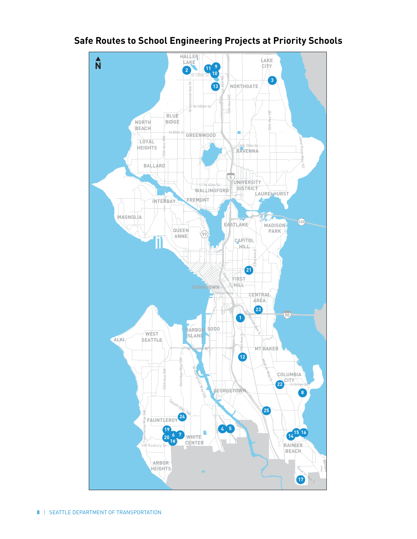

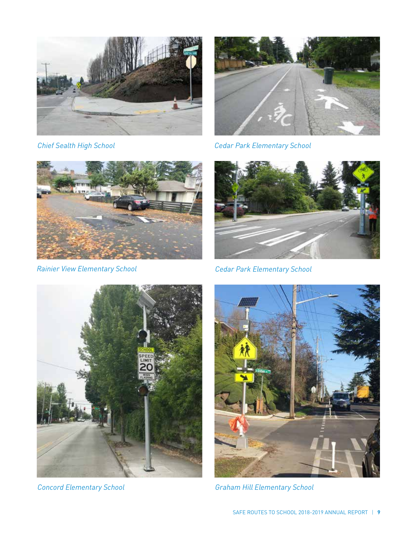



*Chief Sealth High School Cedar Park Elementary School*



*Rainier View Elementary School Cedar Park Elementary School*







*Concord Elementary School Graham Hill Elementary School*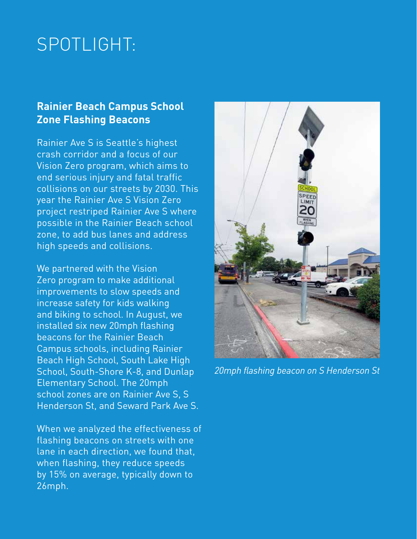### SPOTLIGHT:

### **Rainier Beach Campus School Zone Flashing Beacons**

Rainier Ave S is Seattle's highest crash corridor and a focus of our Vision Zero program, which aims to end serious injury and fatal traffic collisions on our streets by 2030. This year the Rainier Ave S Vision Zero project restriped Rainier Ave S where possible in the Rainier Beach school zone, to add bus lanes and address high speeds and collisions.

We partnered with the Vision Zero program to make additional improvements to slow speeds and increase safety for kids walking and biking to school. In August, we installed six new 20mph flashing beacons for the Rainier Beach Campus schools, including Rainier Beach High School, South Lake High School, South-Shore K-8, and Dunlap Elementary School. The 20mph school zones are on Rainier Ave S, S Henderson St, and Seward Park Ave S.

When we analyzed the effectiveness of flashing beacons on streets with one lane in each direction, we found that, when flashing, they reduce speeds by 15% on average, typically down to 26mph.



*20mph flashing beacon on S Henderson St*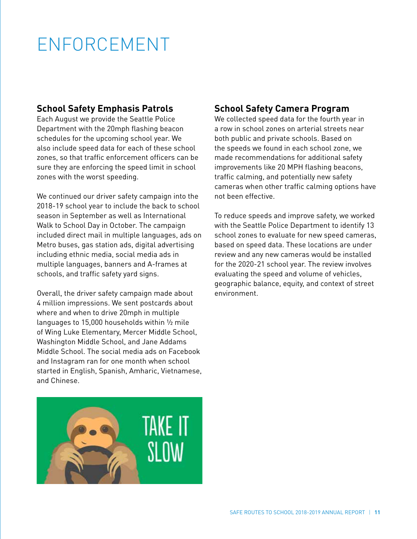# ENFORCEMENT

#### **School Safety Emphasis Patrols**

Each August we provide the Seattle Police Department with the 20mph flashing beacon schedules for the upcoming school year. We also include speed data for each of these school zones, so that traffic enforcement officers can be sure they are enforcing the speed limit in school zones with the worst speeding.

We continued our driver safety campaign into the 2018-19 school year to include the back to school season in September as well as International Walk to School Day in October. The campaign included direct mail in multiple languages, ads on Metro buses, gas station ads, digital advertising including ethnic media, social media ads in multiple languages, banners and A-frames at schools, and traffic safety yard signs.

Overall, the driver safety campaign made about 4 million impressions. We sent postcards about where and when to drive 20mph in multiple languages to 15,000 households within ½ mile of Wing Luke Elementary, Mercer Middle School, Washington Middle School, and Jane Addams Middle School. The social media ads on Facebook and Instagram ran for one month when school started in English, Spanish, Amharic, Vietnamese, and Chinese.



### **School Safety Camera Program**

We collected speed data for the fourth year in a row in school zones on arterial streets near both public and private schools. Based on the speeds we found in each school zone, we made recommendations for additional safety improvements like 20 MPH flashing beacons, traffic calming, and potentially new safety cameras when other traffic calming options have not been effective.

To reduce speeds and improve safety, we worked with the Seattle Police Department to identify 13 school zones to evaluate for new speed cameras, based on speed data. These locations are under review and any new cameras would be installed for the 2020-21 school year. The review involves evaluating the speed and volume of vehicles, geographic balance, equity, and context of street environment.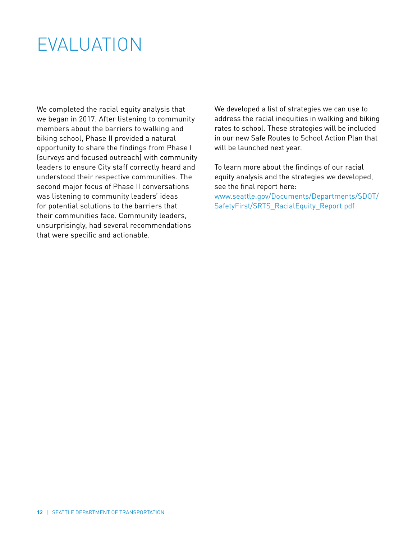### EVALUATION

We completed the racial equity analysis that we began in 2017. After listening to community members about the barriers to walking and biking school, Phase II provided a natural opportunity to share the findings from Phase I (surveys and focused outreach) with community leaders to ensure City staff correctly heard and understood their respective communities. The second major focus of Phase II conversations was listening to community leaders' ideas for potential solutions to the barriers that their communities face. Community leaders, unsurprisingly, had several recommendations that were specific and actionable.

We developed a list of strategies we can use to address the racial inequities in walking and biking rates to school. These strategies will be included in our new Safe Routes to School Action Plan that will be launched next year.

To learn more about the findings of our racial equity analysis and the strategies we developed, see the final report here: www.seattle.gov/Documents/Departments/SDOT/

SafetyFirst/SRTS\_RacialEquity\_Report.pdf